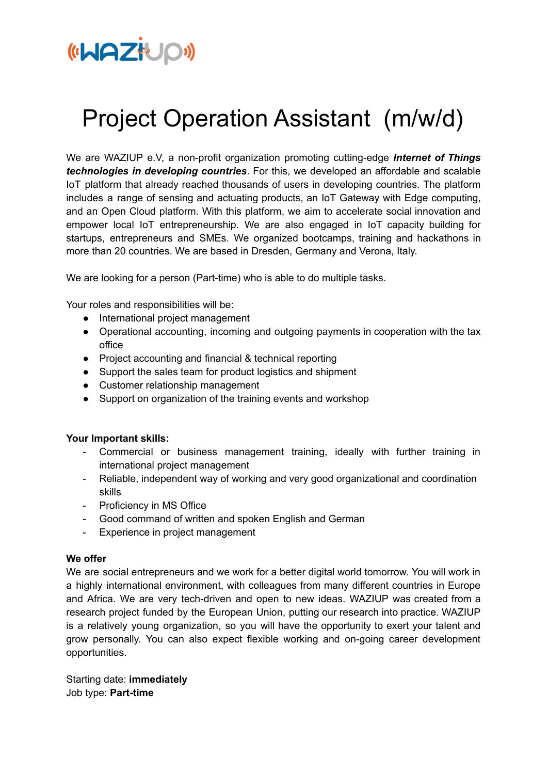

## Project Operation Assistant (m/w/d)

We are WAZIUP e.V, a non-profit organization promoting cutting-edge *Internet of Things technologies in developing countries*. For this, we developed an affordable and scalable IoT platform that already reached thousands of users in developing countries. The platform includes a range of sensing and actuating products, an IoT Gateway with Edge computing, and an Open Cloud platform. With this platform, we aim to accelerate social innovation and empower local IoT entrepreneurship. We are also engaged in IoT capacity building for startups, entrepreneurs and SMEs. We organized bootcamps, training and hackathons in more than 20 countries. We are based in Dresden, Germany and Verona, Italy.

We are looking for a person (Part-time) who is able to do multiple tasks.

Your roles and responsibilities will be:

- International project management
- Operational accounting, incoming and outgoing payments in cooperation with the tax office
- Project accounting and financial & technical reporting
- Support the sales team for product logistics and shipment
- Customer relationship management
- Support on organization of the training events and workshop

## **Your Important skills:**

- Commercial or business management training, ideally with further training in international project management
- Reliable, independent way of working and very good organizational and coordination skills
- Proficiency in MS Office
- Good command of written and spoken English and German
- Experience in project management

## **We offer**

We are social entrepreneurs and we work for a better digital world tomorrow. You will work in a highly international environment, with colleagues from many different countries in Europe and Africa. We are very tech-driven and open to new ideas. WAZIUP was created from a research project funded by the European Union, putting our research into practice. WAZIUP is a relatively young organization, so you will have the opportunity to exert your talent and grow personally. You can also expect flexible working and on-going career development opportunities.

Starting date: **immediately** Job type: **Part-time**